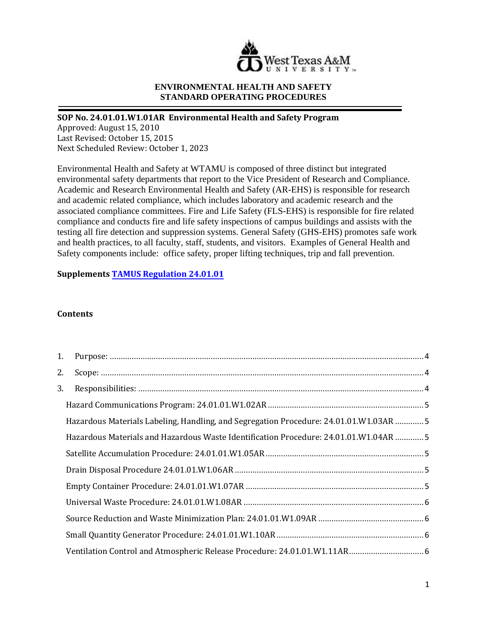

### **ENVIRONMENTAL HEALTH AND SAFETY STANDARD OPERATING PROCEDURES**

# **SOP No. 24.01.01.W1.01AR Environmental Health and Safety Program**

Approved: August 15, 2010 Last Revised: October 15, 2015 Next Scheduled Review: October 1, 2023

Environmental Health and Safety at WTAMU is composed of three distinct but integrated environmental safety departments that report to the Vice President of Research and Compliance. Academic and Research Environmental Health and Safety (AR-EHS) is responsible for research and academic related compliance, which includes laboratory and academic research and the associated compliance committees. Fire and Life Safety (FLS-EHS) is responsible for fire related compliance and conducts fire and life safety inspections of campus buildings and assists with the testing all fire detection and suppression systems. General Safety (GHS-EHS) promotes safe work and health practices, to all faculty, staff, students, and visitors. Examples of General Health and Safety components include: office safety, proper lifting techniques, trip and fall prevention.

**Supplements TAMUS Regulation 24.01.01**

### **Contents**

| 1. |                                                                                      |  |
|----|--------------------------------------------------------------------------------------|--|
| 2. |                                                                                      |  |
| 3. |                                                                                      |  |
|    |                                                                                      |  |
|    | Hazardous Materials Labeling, Handling, and Segregation Procedure: 24.01.01.W1.03AR5 |  |
|    | Hazardous Materials and Hazardous Waste Identification Procedure: 24.01.01.W1.04AR 5 |  |
|    |                                                                                      |  |
|    |                                                                                      |  |
|    |                                                                                      |  |
|    |                                                                                      |  |
|    |                                                                                      |  |
|    |                                                                                      |  |
|    |                                                                                      |  |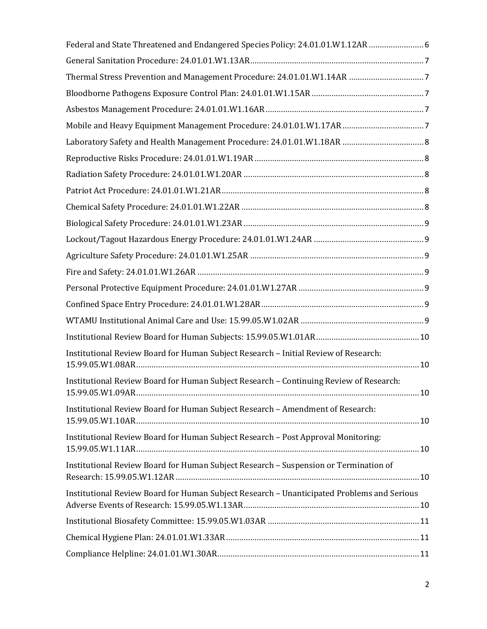| Federal and State Threatened and Endangered Species Policy: 24.01.01.W1.12AR 6               |
|----------------------------------------------------------------------------------------------|
|                                                                                              |
|                                                                                              |
|                                                                                              |
|                                                                                              |
|                                                                                              |
|                                                                                              |
|                                                                                              |
|                                                                                              |
|                                                                                              |
|                                                                                              |
|                                                                                              |
|                                                                                              |
|                                                                                              |
|                                                                                              |
|                                                                                              |
|                                                                                              |
|                                                                                              |
|                                                                                              |
| Institutional Review Board for Human Subject Research - Initial Review of Research:          |
| Institutional Review Board for Human Subject Research - Continuing Review of Research:<br>10 |
| Institutional Review Board for Human Subject Research - Amendment of Research:               |
| Institutional Review Board for Human Subject Research - Post Approval Monitoring:            |
| Institutional Review Board for Human Subject Research - Suspension or Termination of         |
| Institutional Review Board for Human Subject Research - Unanticipated Problems and Serious   |
|                                                                                              |
|                                                                                              |
|                                                                                              |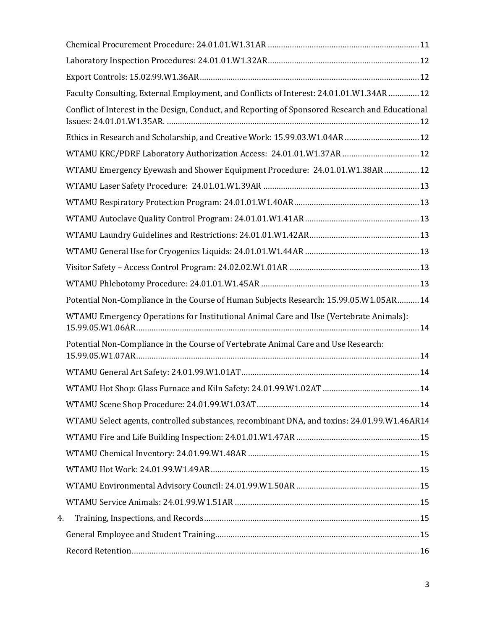|    | Faculty Consulting, External Employment, and Conflicts of Interest: 24.01.01.W1.34AR 12          |
|----|--------------------------------------------------------------------------------------------------|
|    | Conflict of Interest in the Design, Conduct, and Reporting of Sponsored Research and Educational |
|    | Ethics in Research and Scholarship, and Creative Work: 15.99.03.W1.04AR 12                       |
|    | WTAMU KRC/PDRF Laboratory Authorization Access: 24.01.01.W1.37AR  12                             |
|    | WTAMU Emergency Eyewash and Shower Equipment Procedure: 24.01.01.W1.38AR 12                      |
|    |                                                                                                  |
|    |                                                                                                  |
|    |                                                                                                  |
|    |                                                                                                  |
|    |                                                                                                  |
|    |                                                                                                  |
|    |                                                                                                  |
|    | Potential Non-Compliance in the Course of Human Subjects Research: 15.99.05.W1.05AR 14           |
|    | WTAMU Emergency Operations for Institutional Animal Care and Use (Vertebrate Animals):           |
|    | Potential Non-Compliance in the Course of Vertebrate Animal Care and Use Research:               |
|    |                                                                                                  |
|    |                                                                                                  |
|    |                                                                                                  |
|    | WTAMU Select agents, controlled substances, recombinant DNA, and toxins: 24.01.99.W1.46AR14      |
|    |                                                                                                  |
|    |                                                                                                  |
|    |                                                                                                  |
|    |                                                                                                  |
|    |                                                                                                  |
| 4. |                                                                                                  |
|    |                                                                                                  |
|    |                                                                                                  |
|    |                                                                                                  |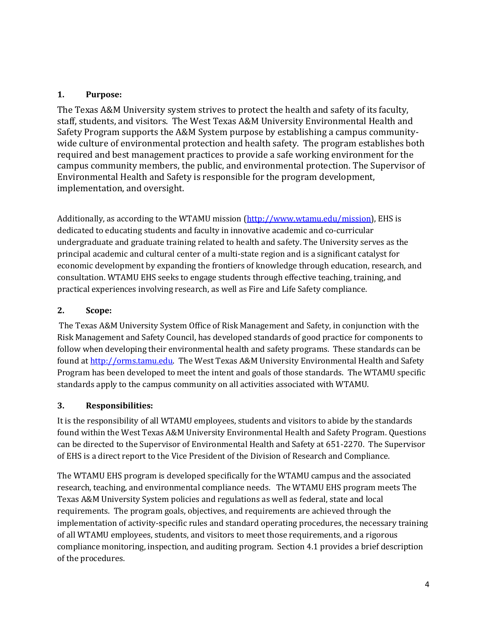# <span id="page-3-0"></span>**1. Purpose:**

The Texas A&M University system strives to protect the health and safety of its faculty, staff, students, and visitors. The West Texas A&M University Environmental Health and Safety Program supports the A&M System purpose by establishing a campus communitywide culture of environmental protection and health safety. The program establishes both required and best management practices to provide a safe working environment for the campus community members, the public, and environmental protection. The Supervisor of Environmental Health and Safety is responsible for the program development, implementation, and oversight.

Additionally, as according to the WTAMU mission [\(http://www.wtamu.edu/mission\)](http://www.wtamu.edu/mission), EHS is dedicated to educating students and faculty in innovative academic and co-curricular undergraduate and graduate training related to health and safety. The University serves as the principal academic and cultural center of a multi-state region and is a significant catalyst for economic development by expanding the frontiers of knowledge through education, research, and consultation. WTAMU EHS seeks to engage students through effective teaching, training, and practical experiences involving research, as well as Fire and Life Safety compliance.

# <span id="page-3-1"></span>**2. Scope:**

The Texas A&M University System Office of Risk Management and Safety, in conjunction with the Risk Management and Safety Council, has developed standards of good practice for components to follow when developing their environmental health and safety programs. These standards can be found a[t http://orms.tamu.edu.](http://orms.tamu.edu/) The West Texas A&M University Environmental Health and Safety Program has been developed to meet the intent and goals of those standards. The WTAMU specific standards apply to the campus community on all activities associated with WTAMU.

# <span id="page-3-2"></span>**3. Responsibilities:**

It is the responsibility of all WTAMU employees, students and visitors to abide by the standards found within the West Texas A&M University Environmental Health and Safety Program. Questions can be directed to the Supervisor of Environmental Health and Safety at 651-2270. The Supervisor of EHS is a direct report to the Vice President of the Division of Research and Compliance.

The WTAMU EHS program is developed specifically for the WTAMU campus and the associated research, teaching, and environmental compliance needs. The WTAMU EHS program meets The Texas A&M University System policies and regulations as well as federal, state and local requirements. The program goals, objectives, and requirements are achieved through the implementation of activity-specific rules and standard operating procedures, the necessary training of all WTAMU employees, students, and visitors to meet those requirements, and a rigorous compliance monitoring, inspection, and auditing program. Section 4.1 provides a brief description of the procedures.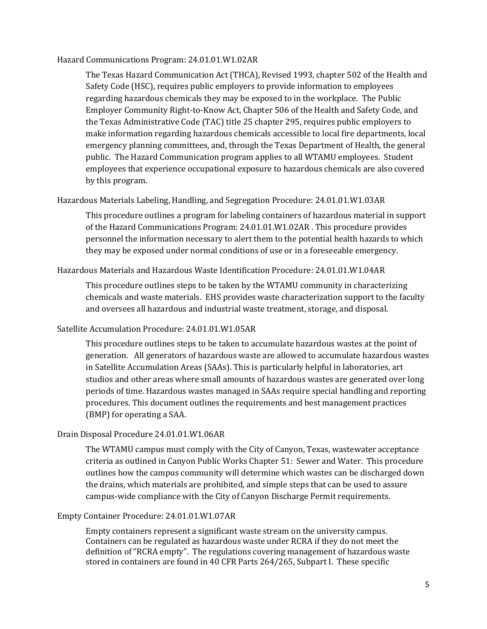#### <span id="page-4-0"></span>Hazard Communications Program: 24.01.01.W1.02AR

The Texas Hazard Communication Act (THCA), Revised 1993, chapter 502 of the Health and Safety Code (HSC), requires public employers to provide information to employees regarding hazardous chemicals they may be exposed to in the workplace. The Public Employer Community Right-to-Know Act, Chapter 506 of the Health and Safety Code, and the Texas Administrative Code (TAC) title 25 chapter 295, requires public employers to make information regarding hazardous chemicals accessible to local fire departments, local emergency planning committees, and, through the Texas Department of Health, the general public. The Hazard Communication program applies to all WTAMU employees. Student employees that experience occupational exposure to hazardous chemicals are also covered by this program.

#### <span id="page-4-1"></span>Hazardous Materials Labeling, Handling, and Segregation Procedure: 24.01.01.W1.03AR

This procedure outlines a program for labeling containers of hazardous material in support of the Hazard Communications Program: 24.01.01.W1.02AR . This procedure provides personnel the information necessary to alert them to the potential health hazards to which they may be exposed under normal conditions of use or in a foreseeable emergency.

# <span id="page-4-2"></span>Hazardous Materials and Hazardous Waste Identification Procedure: 24.01.01.W1.04AR

This procedure outlines steps to be taken by the WTAMU community in characterizing chemicals and waste materials. EHS provides waste characterization support to the faculty and oversees all hazardous and industrial waste treatment, storage, and disposal.

#### <span id="page-4-3"></span>Satellite Accumulation Procedure: 24.01.01.W1.05AR

This procedure outlines steps to be taken to accumulate hazardous wastes at the point of generation. All generators of hazardous waste are allowed to accumulate hazardous wastes in Satellite Accumulation Areas (SAAs). This is particularly helpful in laboratories, art studios and other areas where small amounts of hazardous wastes are generated over long periods of time. Hazardous wastes managed in SAAs require special handling and reporting procedures. This document outlines the requirements and best management practices (BMP) for operating a SAA.

#### <span id="page-4-4"></span>Drain Disposal Procedure 24.01.01.W1.06AR

The WTAMU campus must comply with the City of Canyon, Texas, wastewater acceptance criteria as outlined in Canyon Public Works Chapter 51: Sewer and Water. This procedure outlines how the campus community will determine which wastes can be discharged down the drains, which materials are prohibited, and simple steps that can be used to assure campus-wide compliance with the City of Canyon Discharge Permit requirements.

#### <span id="page-4-5"></span>Empty Container Procedure: 24.01.01.W1.07AR

Empty containers represent a significant waste stream on the university campus. Containers can be regulated as hazardous waste under RCRA if they do not meet the definition of "RCRA empty". The regulations covering management of hazardous waste stored in containers are found in 40 CFR Parts 264/265, Subpart I. These specific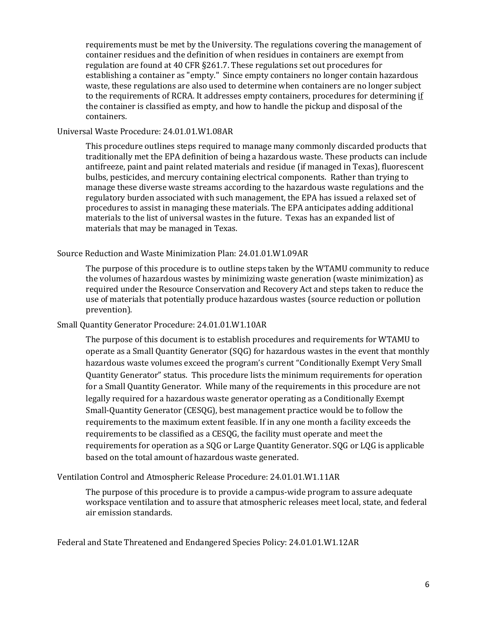requirements must be met by the University. The regulations covering the management of container residues and the definition of when residues in containers are exempt from regulation are found at 40 CFR §261.7. These regulations set out procedures for establishing a container as "empty." Since empty containers no longer contain hazardous waste, these regulations are also used to determine when containers are no longer subject to the requirements of RCRA. It addresses empty containers, procedures for determining if the container is classified as empty, and how to handle the pickup and disposal of the containers.

#### <span id="page-5-0"></span>Universal Waste Procedure: 24.01.01.W1.08AR

This procedure outlines steps required to manage many commonly discarded products that traditionally met the EPA definition of being a hazardous waste. These products can include antifreeze, paint and paint related materials and residue (if managed in Texas), fluorescent bulbs, pesticides, and mercury containing electrical components. Rather than trying to manage these diverse waste streams according to the hazardous waste regulations and the regulatory burden associated with such management, the EPA has issued a relaxed set of procedures to assist in managing these materials. The EPA anticipates adding additional materials to the list of universal wastes in the future. Texas has an expanded list of materials that may be managed in Texas.

#### <span id="page-5-1"></span>Source Reduction and Waste Minimization Plan: 24.01.01.W1.09AR

The purpose of this procedure is to outline steps taken by the WTAMU community to reduce the volumes of hazardous wastes by minimizing waste generation (waste minimization) as required under the Resource Conservation and Recovery Act and steps taken to reduce the use of materials that potentially produce hazardous wastes (source reduction or pollution prevention).

#### <span id="page-5-2"></span>Small Quantity Generator Procedure: 24.01.01.W1.10AR

The purpose of this document is to establish procedures and requirements for WTAMU to operate as a Small Quantity Generator (SQG) for hazardous wastes in the event that monthly hazardous waste volumes exceed the program's current "Conditionally Exempt Very Small Quantity Generator" status. This procedure lists the minimum requirements for operation for a Small Quantity Generator. While many of the requirements in this procedure are not legally required for a hazardous waste generator operating as a Conditionally Exempt Small-Quantity Generator (CESQG), best management practice would be to follow the requirements to the maximum extent feasible. If in any one month a facility exceeds the requirements to be classified as a CESQG, the facility must operate and meet the requirements for operation as a SQG or Large Quantity Generator. SQG or LQG is applicable based on the total amount of hazardous waste generated.

#### <span id="page-5-3"></span>Ventilation Control and Atmospheric Release Procedure: 24.01.01.W1.11AR

The purpose of this procedure is to provide a campus-wide program to assure adequate workspace ventilation and to assure that atmospheric releases meet local, state, and federal air emission standards.

<span id="page-5-4"></span>Federal and State Threatened and Endangered Species Policy: 24.01.01.W1.12AR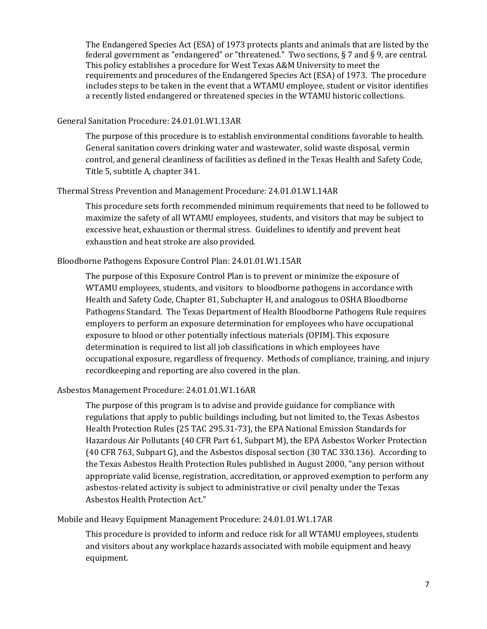The Endangered Species Act (ESA) of 1973 protects plants and animals that are listed by the federal government as "endangered" or "threatened." Two sections, § 7 and § 9, are central. This policy establishes a procedure for West Texas A&M University to meet the requirements and procedures of the Endangered Species Act (ESA) of 1973. The procedure includes steps to be taken in the event that a WTAMU employee, student or visitor identifies a recently listed endangered or threatened species in the WTAMU historic collections.

### <span id="page-6-0"></span>General Sanitation Procedure: 24.01.01.W1.13AR

The purpose of this procedure is to establish environmental conditions favorable to health. General sanitation covers drinking water and wastewater, solid waste disposal, vermin control, and general cleanliness of facilities as defined in the Texas Health and Safety Code, Title 5, subtitle A, chapter 341.

# <span id="page-6-1"></span>Thermal Stress Prevention and Management Procedure: 24.01.01.W1.14AR

This procedure sets forth recommended minimum requirements that need to be followed to maximize the safety of all WTAMU employees, students, and visitors that may be subject to excessive heat, exhaustion or thermal stress. Guidelines to identify and prevent heat exhaustion and heat stroke are also provided.

# <span id="page-6-2"></span>Bloodborne Pathogens Exposure Control Plan: 24.01.01.W1.15AR

The purpose of this Exposure Control Plan is to prevent or minimize the exposure of WTAMU employees, students, and visitors to bloodborne pathogens in accordance with Health and Safety Code, Chapter 81, Subchapter H, and analogous to OSHA Bloodborne Pathogens Standard. The Texas Department of Health Bloodborne Pathogens Rule requires employers to perform an exposure determination for employees who have occupational exposure to blood or other potentially infectious materials (OPIM). This exposure determination is required to list all job classifications in which employees have occupational exposure, regardless of frequency. Methods of compliance, training, and injury recordkeeping and reporting are also covered in the plan.

# <span id="page-6-3"></span>Asbestos Management Procedure: 24.01.01.W1.16AR

The purpose of this program is to advise and provide guidance for compliance with regulations that apply to public buildings including, but not limited to, the Texas Asbestos Health Protection Rules (25 TAC 295.31-73), the EPA National Emission Standards for Hazardous Air Pollutants (40 CFR Part 61, Subpart M), the EPA Asbestos Worker Protection (40 CFR 763, Subpart G), and the Asbestos disposal section (30 TAC 330.136). According to the Texas Asbestos Health Protection Rules published in August 2000, "any person without appropriate valid license, registration, accreditation, or approved exemption to perform any asbestos-related activity is subject to administrative or civil penalty under the Texas Asbestos Health Protection Act."

# <span id="page-6-4"></span>Mobile and Heavy Equipment Management Procedure: 24.01.01.W1.17AR

This procedure is provided to inform and reduce risk for all WTAMU employees, students and visitors about any workplace hazards associated with mobile equipment and heavy equipment.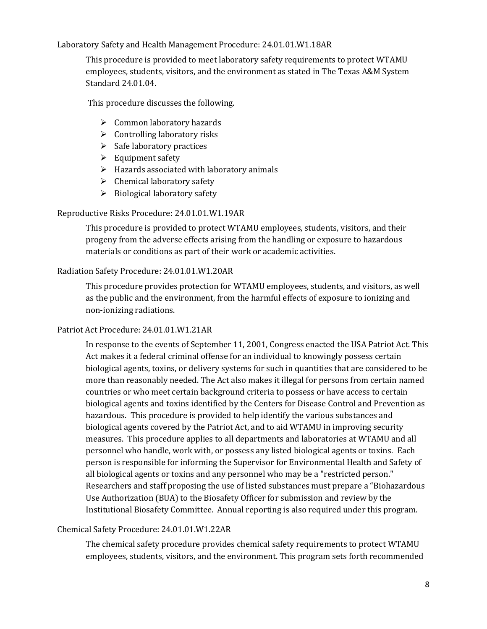<span id="page-7-0"></span>Laboratory Safety and Health Management Procedure: 24.01.01.W1.18AR

This procedure is provided to meet laboratory safety requirements to protect WTAMU employees, students, visitors, and the environment as stated in The Texas A&M System Standard 24.01.04.

This procedure discusses the following.

- $\triangleright$  Common laboratory hazards
- $\triangleright$  Controlling laboratory risks
- $\triangleright$  Safe laboratory practices
- $\triangleright$  Equipment safety
- $\triangleright$  Hazards associated with laboratory animals
- $\triangleright$  Chemical laboratory safety
- $\triangleright$  Biological laboratory safety

#### <span id="page-7-1"></span>Reproductive Risks Procedure: 24.01.01.W1.19AR

This procedure is provided to protect WTAMU employees, students, visitors, and their progeny from the adverse effects arising from the handling or exposure to hazardous materials or conditions as part of their work or academic activities.

#### <span id="page-7-2"></span>Radiation Safety Procedure: 24.01.01.W1.20AR

This procedure provides protection for WTAMU employees, students, and visitors, as well as the public and the environment, from the harmful effects of exposure to ionizing and non-ionizing radiations.

#### <span id="page-7-3"></span>Patriot Act Procedure: 24.01.01.W1.21AR

In response to the events of September 11, 2001, Congress enacted the USA Patriot Act. This Act makes it a federal criminal offense for an individual to knowingly possess certain biological agents, toxins, or delivery systems for such in quantities that are considered to be more than reasonably needed. The Act also makes it illegal for persons from certain named countries or who meet certain background criteria to possess or have access to certain biological agents and toxins identified by the Centers for Disease Control and Prevention as hazardous. This procedure is provided to help identify the various substances and biological agents covered by the Patriot Act, and to aid WTAMU in improving security measures. This procedure applies to all departments and laboratories at WTAMU and all personnel who handle, work with, or possess any listed biological agents or toxins. Each person is responsible for informing the Supervisor for Environmental Health and Safety of all biological agents or toxins and any personnel who may be a "restricted person." Researchers and staff proposing the use of listed substances must prepare a "Biohazardous Use Authorization (BUA) to the Biosafety Officer for submission and review by the Institutional Biosafety Committee. Annual reporting is also required under this program.

### <span id="page-7-4"></span>Chemical Safety Procedure: 24.01.01.W1.22AR

The chemical safety procedure provides chemical safety requirements to protect WTAMU employees, students, visitors, and the environment. This program sets forth recommended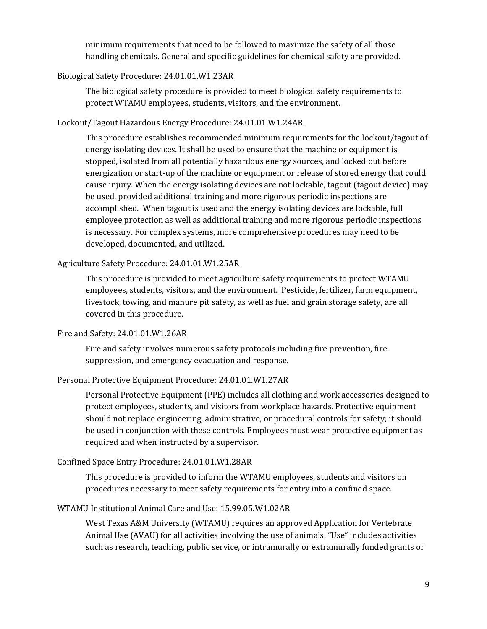minimum requirements that need to be followed to maximize the safety of all those handling chemicals. General and specific guidelines for chemical safety are provided.

# <span id="page-8-0"></span>Biological Safety Procedure: 24.01.01.W1.23AR

The biological safety procedure is provided to meet biological safety requirements to protect WTAMU employees, students, visitors, and the environment.

# <span id="page-8-1"></span>Lockout/Tagout Hazardous Energy Procedure: 24.01.01.W1.24AR

This procedure establishes recommended minimum requirements for the lockout/tagout of energy isolating devices. It shall be used to ensure that the machine or equipment is stopped, isolated from all potentially hazardous energy sources, and locked out before energization or start-up of the machine or equipment or release of stored energy that could cause injury. When the energy isolating devices are not lockable, tagout (tagout device) may be used, provided additional training and more rigorous periodic inspections are accomplished. When tagout is used and the energy isolating devices are lockable, full employee protection as well as additional training and more rigorous periodic inspections is necessary. For complex systems, more comprehensive procedures may need to be developed, documented, and utilized.

### <span id="page-8-2"></span>Agriculture Safety Procedure: 24.01.01.W1.25AR

This procedure is provided to meet agriculture safety requirements to protect WTAMU employees, students, visitors, and the environment. Pesticide, fertilizer, farm equipment, livestock, towing, and manure pit safety, as well as fuel and grain storage safety, are all covered in this procedure.

#### <span id="page-8-3"></span>Fire and Safety: 24.01.01.W1.26AR

Fire and safety involves numerous safety protocols including fire prevention, fire suppression, and emergency evacuation and response.

### <span id="page-8-4"></span>Personal Protective Equipment Procedure: 24.01.01.W1.27AR

Personal Protective Equipment (PPE) includes all clothing and work accessories designed to protect employees, students, and visitors from workplace hazards. Protective equipment should not replace engineering, administrative, or procedural controls for safety; it should be used in conjunction with these controls. Employees must wear protective equipment as required and when instructed by a supervisor.

#### <span id="page-8-5"></span>Confined Space Entry Procedure: 24.01.01.W1.28AR

This procedure is provided to inform the WTAMU employees, students and visitors on procedures necessary to meet safety requirements for entry into a confined space.

# <span id="page-8-6"></span>WTAMU Institutional Animal Care and Use: 15.99.05.W1.02AR

West Texas A&M University (WTAMU) requires an approved Application for Vertebrate Animal Use (AVAU) for all activities involving the use of animals. "Use" includes activities such as research, teaching, public service, or intramurally or extramurally funded grants or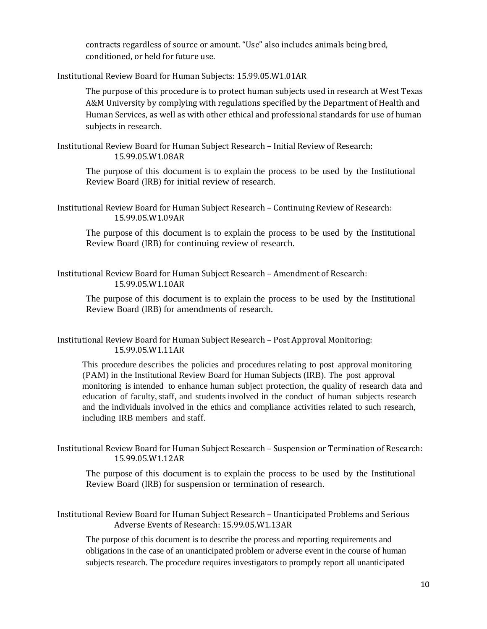contracts regardless of source or amount. "Use" also includes animals being bred, conditioned, or held for future use.

<span id="page-9-0"></span>Institutional Review Board for Human Subjects: 15.99.05.W1.01AR

The purpose of this procedure is to protect human subjects used in research at West Texas A&M University by complying with regulations specified by the Department of Health and Human Services, as well as with other ethical and professional standards for use of human subjects in research.

<span id="page-9-1"></span>Institutional Review Board for Human Subject Research – Initial Review of Research: 15.99.05.W1.08AR

The purpose of this document is to explain the process to be used by the Institutional Review Board (IRB) for initial review of research.

<span id="page-9-2"></span>Institutional Review Board for Human Subject Research – Continuing Review of Research: 15.99.05.W1.09AR

The purpose of this document is to explain the process to be used by the Institutional Review Board (IRB) for continuing review of research.

<span id="page-9-3"></span>Institutional Review Board for Human Subject Research – Amendment of Research: 15.99.05.W1.10AR

The purpose of this document is to explain the process to be used by the Institutional Review Board (IRB) for amendments of research.

# <span id="page-9-4"></span>Institutional Review Board for Human Subject Research – Post Approval Monitoring: 15.99.05.W1.11AR

This procedure describes the policies and procedures relating to post approval monitoring (PAM) in the Institutional Review Board for Human Subjects (IRB). The post approval monitoring is intended to enhance human subject protection, the quality of research data and education of faculty, staff, and students involved in the conduct of human subjects research and the individuals involved in the ethics and compliance activities related to such research, including IRB members and staff.

<span id="page-9-5"></span>Institutional Review Board for Human Subject Research – Suspension or Termination of Research: 15.99.05.W1.12AR

The purpose of this document is to explain the process to be used by the Institutional Review Board (IRB) for suspension or termination of research.

<span id="page-9-6"></span>Institutional Review Board for Human Subject Research – Unanticipated Problems and Serious Adverse Events of Research: 15.99.05.W1.13AR

The purpose of this document is to describe the process and reporting requirements and obligations in the case of an unanticipated problem or adverse event in the course of human subjects research. The procedure requires investigators to promptly report all unanticipated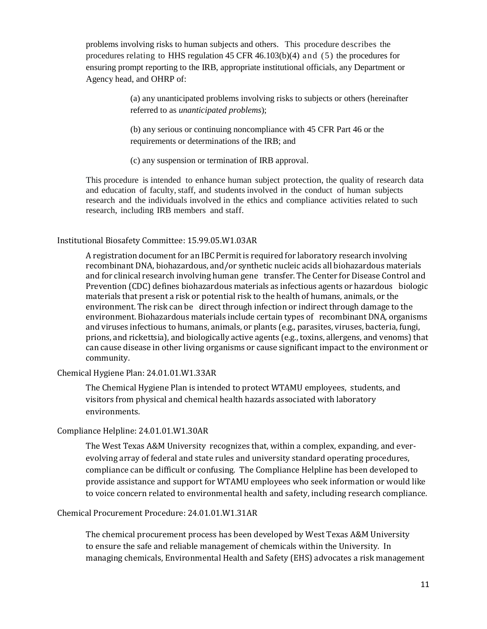problems involving risks to human subjects and others. This procedure describes the procedures relating to HHS regulation  $45$  CFR  $46.103(b)(4)$  and  $(5)$  the procedures for ensuring prompt reporting to the IRB, appropriate institutional officials, any Department or Agency head, and OHRP of:

> (a) any unanticipated problems involving risks to subjects or others (hereinafter referred to as *unanticipated problems*);

(b) any serious or continuing noncompliance with 45 CFR Part 46 or the requirements or determinations of the IRB; and

(c) any suspension or termination of IRB approval.

This procedure is intended to enhance human subject protection, the quality of research data and education of faculty, staff, and students involved in the conduct of human subjects research and the individuals involved in the ethics and compliance activities related to such research, including IRB members and staff.

#### <span id="page-10-0"></span>Institutional Biosafety Committee: 15.99.05.W1.03AR

A registration document for an IBC Permit is required for laboratory research involving recombinant DNA, biohazardous, and/or synthetic nucleic acids all biohazardous materials and for clinical research involving human gene transfer. The Center for Disease Control and Prevention (CDC) defines biohazardous materials as infectious agents or hazardous biologic materials that present a risk or potential risk to the health of humans, animals, or the environment. The risk can be direct through infection or indirect through damage to the environment. Biohazardous materials include certain types of recombinant DNA, organisms and viruses infectious to humans, animals, or plants (e.g., parasites, viruses, bacteria, fungi, prions, and rickettsia), and biologically active agents (e.g., toxins, allergens, and venoms) that can cause disease in other living organisms or cause significant impact to the environment or community.

#### <span id="page-10-1"></span>Chemical Hygiene Plan: 24.01.01.W1.33AR

The Chemical Hygiene Plan is intended to protect WTAMU employees, students, and visitors from physical and chemical health hazards associated with laboratory environments.

#### <span id="page-10-2"></span>Compliance Helpline: 24.01.01.W1.30AR

The West Texas A&M University recognizes that, within a complex, expanding, and everevolving array of federal and state rules and university standard operating procedures, compliance can be difficult or confusing. The Compliance Helpline has been developed to provide assistance and support for WTAMU employees who seek information or would like to voice concern related to environmental health and safety, including research compliance.

# <span id="page-10-3"></span>Chemical Procurement Procedure: 24.01.01.W1.31AR

The chemical procurement process has been developed by West Texas A&M University to ensure the safe and reliable management of chemicals within the University. In managing chemicals, Environmental Health and Safety (EHS) advocates a risk management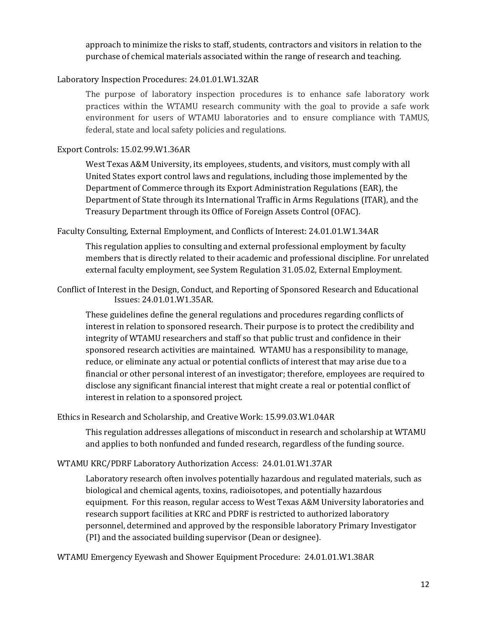approach to minimize the risks to staff, students, contractors and visitors in relation to the purchase of chemical materials associated within the range of research and teaching.

# <span id="page-11-0"></span>Laboratory Inspection Procedures: 24.01.01.W1.32AR

The purpose of laboratory inspection procedures is to enhance safe laboratory work practices within the WTAMU research community with the goal to provide a safe work environment for users of WTAMU laboratories and to ensure compliance with TAMUS, federal, state and local safety policies and regulations.

# <span id="page-11-1"></span>Export Controls: 15.02.99.W1.36AR

West Texas A&M University, its employees, students, and visitors, must comply with all United States export control laws and regulations, including those implemented by the Department of Commerce through its Export Administration Regulations (EAR), the Department of State through its International Traffic in Arms Regulations (ITAR), and the Treasury Department through its Office of Foreign Assets Control (OFAC).

<span id="page-11-2"></span>Faculty Consulting, External Employment, and Conflicts of Interest: 24.01.01.W1.34AR

This regulation applies to consulting and external professional employment by faculty members that is directly related to their academic and professional discipline. For unrelated external faculty employment, see System Regulation 31.05.02, External Employment.

<span id="page-11-3"></span>Conflict of Interest in the Design, Conduct, and Reporting of Sponsored Research and Educational Issues: 24.01.01.W1.35AR.

These guidelines define the general regulations and procedures regarding conflicts of interest in relation to sponsored research. Their purpose is to protect the credibility and integrity of WTAMU researchers and staff so that public trust and confidence in their sponsored research activities are maintained. WTAMU has a responsibility to manage, reduce, or eliminate any actual or potential conflicts of interest that may arise due to a financial or other personal interest of an investigator; therefore, employees are required to disclose any significant financial interest that might create a real or potential conflict of interest in relation to a sponsored project.

<span id="page-11-4"></span>Ethics in Research and Scholarship, and Creative Work: 15.99.03.W1.04AR

This regulation addresses allegations of misconduct in research and scholarship at WTAMU and applies to both nonfunded and funded research, regardless of the funding source.

# <span id="page-11-5"></span>WTAMU KRC/PDRF Laboratory Authorization Access: 24.01.01.W1.37AR

Laboratory research often involves potentially hazardous and regulated materials, such as biological and chemical agents, toxins, radioisotopes, and potentially hazardous equipment. For this reason, regular access to West Texas A&M University laboratories and research support facilities at KRC and PDRF is restricted to authorized laboratory personnel, determined and approved by the responsible laboratory Primary Investigator (PI) and the associated building supervisor (Dean or designee).

<span id="page-11-6"></span>WTAMU Emergency Eyewash and Shower Equipment Procedure: 24.01.01.W1.38AR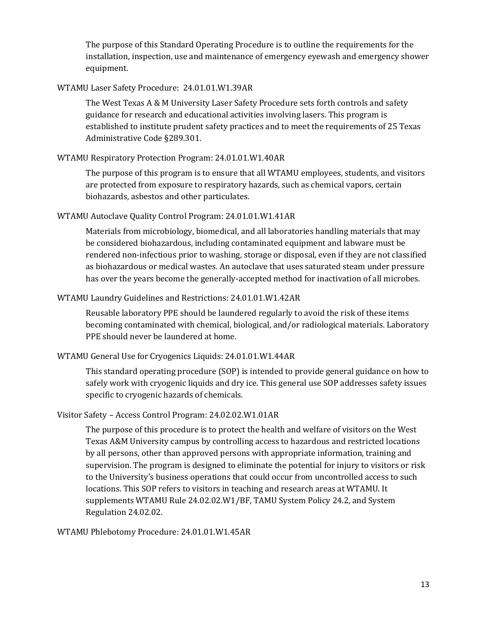The purpose of this Standard Operating Procedure is to outline the requirements for the installation, inspection, use and maintenance of emergency eyewash and emergency shower equipment.

# <span id="page-12-0"></span>WTAMU Laser Safety Procedure: 24.01.01.W1.39AR

The West Texas A & M University Laser Safety Procedure sets forth controls and safety guidance for research and educational activities involving lasers. This program is established to institute prudent safety practices and to meet the requirements of 25 Texas Administrative Code §289.301.

# <span id="page-12-1"></span>WTAMU Respiratory Protection Program: 24.01.01.W1.40AR

The purpose of this program is to ensure that all WTAMU employees, students, and visitors are protected from exposure to respiratory hazards, such as chemical vapors, certain biohazards, asbestos and other particulates.

# <span id="page-12-2"></span>WTAMU Autoclave Quality Control Program: 24.01.01.W1.41AR

Materials from microbiology, biomedical, and all laboratories handling materials that may be considered biohazardous, including contaminated equipment and labware must be rendered non-infectious prior to washing, storage or disposal, even if they are not classified as biohazardous or medical wastes. An autoclave that uses saturated steam under pressure has over the years become the generally-accepted method for inactivation of all microbes.

# <span id="page-12-3"></span>WTAMU Laundry Guidelines and Restrictions: 24.01.01.W1.42AR

Reusable laboratory PPE should be laundered regularly to avoid the risk of these items becoming contaminated with chemical, biological, and/or radiological materials. Laboratory PPE should never be laundered at home.

# <span id="page-12-4"></span>WTAMU General Use for Cryogenics Liquids: 24.01.01.W1.44AR

This standard operating procedure (SOP) is intended to provide general guidance on how to safely work with cryogenic liquids and dry ice. This general use SOP addresses safety issues specific to cryogenic hazards of chemicals.

# <span id="page-12-5"></span>Visitor Safety – Access Control Program: 24.02.02.W1.01AR

The purpose of this procedure is to protect the health and welfare of visitors on the West Texas A&M University campus by controlling access to hazardous and restricted locations by all persons, other than approved persons with appropriate information, training and supervision. The program is designed to eliminate the potential for injury to visitors or risk to the University's business operations that could occur from uncontrolled access to such locations. This SOP refers to visitors in teaching and research areas at WTAMU. It supplements WTAMU Rule 24.02.02.W1/BF, TAMU System Policy 24.2, and System Regulation 24.02.02.

#### <span id="page-12-6"></span>WTAMU Phlebotomy Procedure: 24.01.01.W1.45AR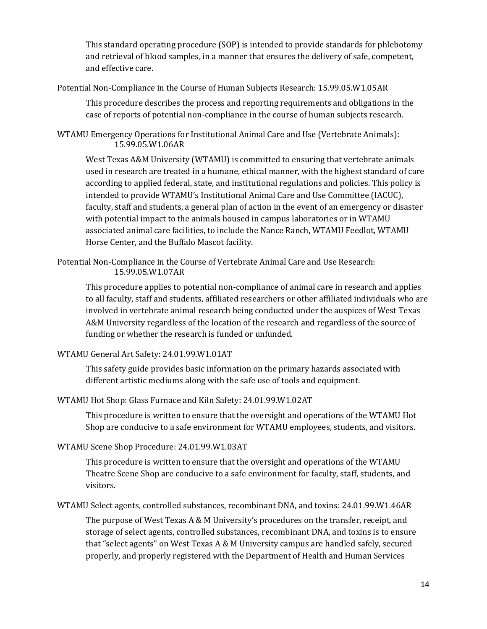This standard operating procedure (SOP) is intended to provide standards for phlebotomy and retrieval of blood samples, in a manner that ensures the delivery of safe, competent, and effective care.

<span id="page-13-0"></span>Potential Non-Compliance in the Course of Human Subjects Research: 15.99.05.W1.05AR

This procedure describes the process and reporting requirements and obligations in the case of reports of potential non-compliance in the course of human subjects research.

<span id="page-13-1"></span>WTAMU Emergency Operations for Institutional Animal Care and Use (Vertebrate Animals): 15.99.05.W1.06AR

West Texas A&M University (WTAMU) is committed to ensuring that vertebrate animals used in research are treated in a humane, ethical manner, with the highest standard of care according to applied federal, state, and institutional regulations and policies. This policy is intended to provide WTAMU's Institutional Animal Care and Use Committee (IACUC), faculty, staff and students, a general plan of action in the event of an emergency or disaster with potential impact to the animals housed in campus laboratories or in WTAMU associated animal care facilities, to include the Nance Ranch, WTAMU Feedlot, WTAMU Horse Center, and the Buffalo Mascot facility.

<span id="page-13-2"></span>Potential Non-Compliance in the Course of Vertebrate Animal Care and Use Research: 15.99.05.W1.07AR

This procedure applies to potential non-compliance of animal care in research and applies to all faculty, staff and students, affiliated researchers or other affiliated individuals who are involved in vertebrate animal research being conducted under the auspices of West Texas A&M University regardless of the location of the research and regardless of the source of funding or whether the research is funded or unfunded.

# <span id="page-13-3"></span>WTAMU General Art Safety: 24.01.99.W1.01AT

This safety guide provides basic information on the primary hazards associated with different artistic mediums along with the safe use of tools and equipment.

<span id="page-13-4"></span>WTAMU Hot Shop: Glass Furnace and Kiln Safety: 24.01.99.W1.02AT

This procedure is written to ensure that the oversight and operations of the WTAMU Hot Shop are conducive to a safe environment for WTAMU employees, students, and visitors.

# <span id="page-13-5"></span>WTAMU Scene Shop Procedure: 24.01.99.W1.03AT

This procedure is written to ensure that the oversight and operations of the WTAMU Theatre Scene Shop are conducive to a safe environment for faculty, staff, students, and visitors.

<span id="page-13-6"></span>WTAMU Select agents, controlled substances, recombinant DNA, and toxins: 24.01.99.W1.46AR

The purpose of West Texas A & M University's procedures on the transfer, receipt, and storage of select agents, controlled substances, recombinant DNA, and toxins is to ensure that "select agents" on West Texas A & M University campus are handled safely, secured properly, and properly registered with the Department of Health and Human Services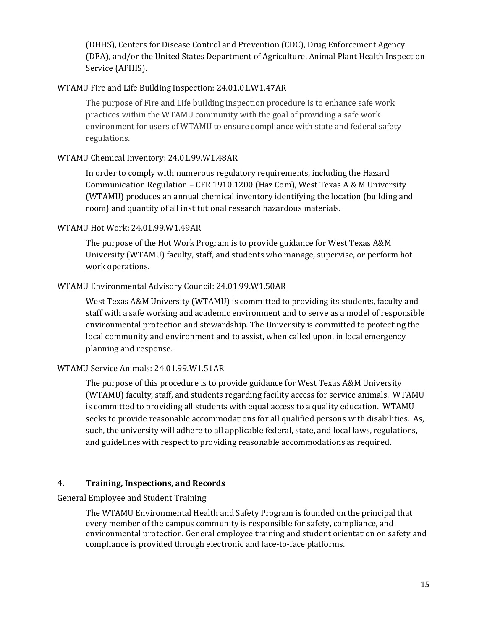(DHHS), Centers for Disease Control and Prevention (CDC), Drug Enforcement Agency (DEA), and/or the United States Department of Agriculture, Animal Plant Health Inspection Service (APHIS).

# <span id="page-14-0"></span>WTAMU Fire and Life Building Inspection: 24.01.01.W1.47AR

The purpose of Fire and Life building inspection procedure is to enhance safe work practices within the WTAMU community with the goal of providing a safe work environment for users of WTAMU to ensure compliance with state and federal safety regulations.

# <span id="page-14-1"></span>WTAMU Chemical Inventory: 24.01.99.W1.48AR

In order to comply with numerous regulatory requirements, including the Hazard Communication Regulation – CFR 1910.1200 (Haz Com), West Texas A & M University (WTAMU) produces an annual chemical inventory identifying the location (building and room) and quantity of all institutional research hazardous materials.

# <span id="page-14-2"></span>WTAMU Hot Work: 24.01.99.W1.49AR

The purpose of the Hot Work Program is to provide guidance for West Texas A&M University (WTAMU) faculty, staff, and students who manage, supervise, or perform hot work operations.

# <span id="page-14-3"></span>WTAMU Environmental Advisory Council: 24.01.99.W1.50AR

West Texas A&M University (WTAMU) is committed to providing its students, faculty and staff with a safe working and academic environment and to serve as a model of responsible environmental protection and stewardship. The University is committed to protecting the local community and environment and to assist, when called upon, in local emergency planning and response.

#### <span id="page-14-4"></span>WTAMU Service Animals: 24.01.99.W1.51AR

The purpose of this procedure is to provide guidance for West Texas A&M University (WTAMU) faculty, staff, and students regarding facility access for service animals. WTAMU is committed to providing all students with equal access to a quality education. WTAMU seeks to provide reasonable accommodations for all qualified persons with disabilities. As, such, the university will adhere to all applicable federal, state, and local laws, regulations, and guidelines with respect to providing reasonable accommodations as required.

#### <span id="page-14-5"></span>**4. Training, Inspections, and Records**

<span id="page-14-6"></span>General Employee and Student Training

The WTAMU Environmental Health and Safety Program is founded on the principal that every member of the campus community is responsible for safety, compliance, and environmental protection. General employee training and student orientation on safety and compliance is provided through electronic and face-to-face platforms.